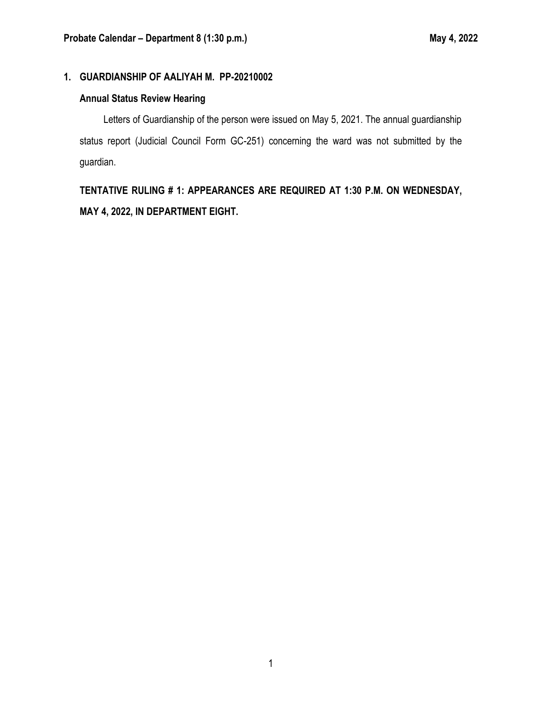# **1. GUARDIANSHIP OF AALIYAH M. PP-20210002**

# **Annual Status Review Hearing**

Letters of Guardianship of the person were issued on May 5, 2021. The annual guardianship status report (Judicial Council Form GC-251) concerning the ward was not submitted by the guardian.

**TENTATIVE RULING # 1: APPEARANCES ARE REQUIRED AT 1:30 P.M. ON WEDNESDAY, MAY 4, 2022, IN DEPARTMENT EIGHT.**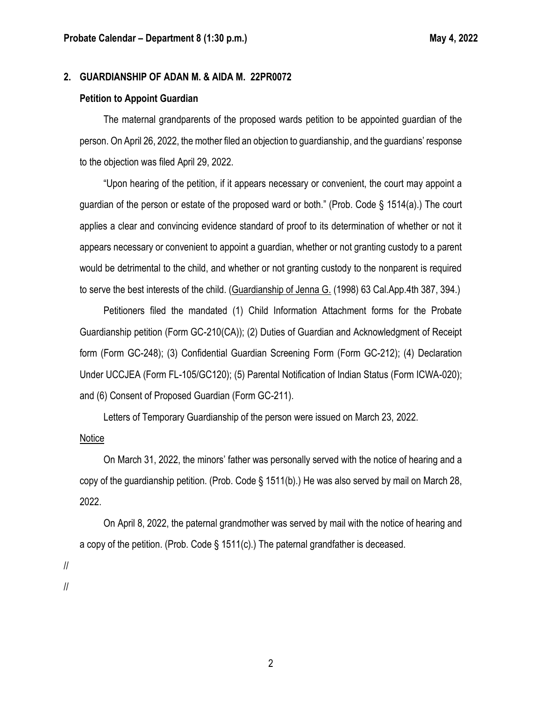#### **2. GUARDIANSHIP OF ADAN M. & AIDA M. 22PR0072**

#### **Petition to Appoint Guardian**

The maternal grandparents of the proposed wards petition to be appointed guardian of the person. On April 26, 2022, the mother filed an objection to guardianship, and the guardians' response to the objection was filed April 29, 2022.

"Upon hearing of the petition, if it appears necessary or convenient, the court may appoint a guardian of the person or estate of the proposed ward or both." (Prob. Code § 1514(a).) The court applies a clear and convincing evidence standard of proof to its determination of whether or not it appears necessary or convenient to appoint a guardian, whether or not granting custody to a parent would be detrimental to the child, and whether or not granting custody to the nonparent is required to serve the best interests of the child. (Guardianship of Jenna G. (1998) 63 Cal.App.4th 387, 394.)

Petitioners filed the mandated (1) Child Information Attachment forms for the Probate Guardianship petition (Form GC-210(CA)); (2) Duties of Guardian and Acknowledgment of Receipt form (Form GC-248); (3) Confidential Guardian Screening Form (Form GC-212); (4) Declaration Under UCCJEA (Form FL-105/GC120); (5) Parental Notification of Indian Status (Form ICWA-020); and (6) Consent of Proposed Guardian (Form GC-211).

Letters of Temporary Guardianship of the person were issued on March 23, 2022.

#### Notice

On March 31, 2022, the minors' father was personally served with the notice of hearing and a copy of the guardianship petition. (Prob. Code § 1511(b).) He was also served by mail on March 28, 2022.

On April 8, 2022, the paternal grandmother was served by mail with the notice of hearing and a copy of the petition. (Prob. Code § 1511(c).) The paternal grandfather is deceased.

//

//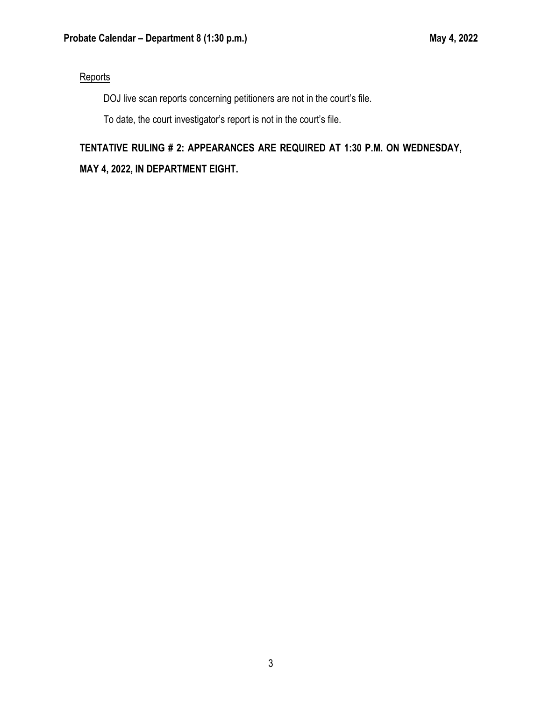### **Reports**

DOJ live scan reports concerning petitioners are not in the court's file.

To date, the court investigator's report is not in the court's file.

# **TENTATIVE RULING # 2: APPEARANCES ARE REQUIRED AT 1:30 P.M. ON WEDNESDAY,**

**MAY 4, 2022, IN DEPARTMENT EIGHT.**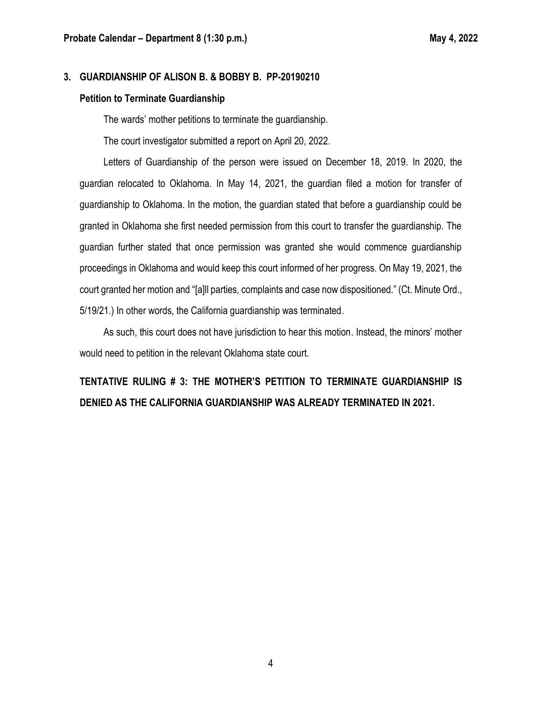#### **3. GUARDIANSHIP OF ALISON B. & BOBBY B. PP-20190210**

#### **Petition to Terminate Guardianship**

The wards' mother petitions to terminate the guardianship.

The court investigator submitted a report on April 20, 2022.

Letters of Guardianship of the person were issued on December 18, 2019. In 2020, the guardian relocated to Oklahoma. In May 14, 2021, the guardian filed a motion for transfer of guardianship to Oklahoma. In the motion, the guardian stated that before a guardianship could be granted in Oklahoma she first needed permission from this court to transfer the guardianship. The guardian further stated that once permission was granted she would commence guardianship proceedings in Oklahoma and would keep this court informed of her progress. On May 19, 2021, the court granted her motion and "[a]ll parties, complaints and case now dispositioned." (Ct. Minute Ord., 5/19/21.) In other words, the California guardianship was terminated.

As such, this court does not have jurisdiction to hear this motion. Instead, the minors' mother would need to petition in the relevant Oklahoma state court.

# **TENTATIVE RULING # 3: THE MOTHER'S PETITION TO TERMINATE GUARDIANSHIP IS DENIED AS THE CALIFORNIA GUARDIANSHIP WAS ALREADY TERMINATED IN 2021.**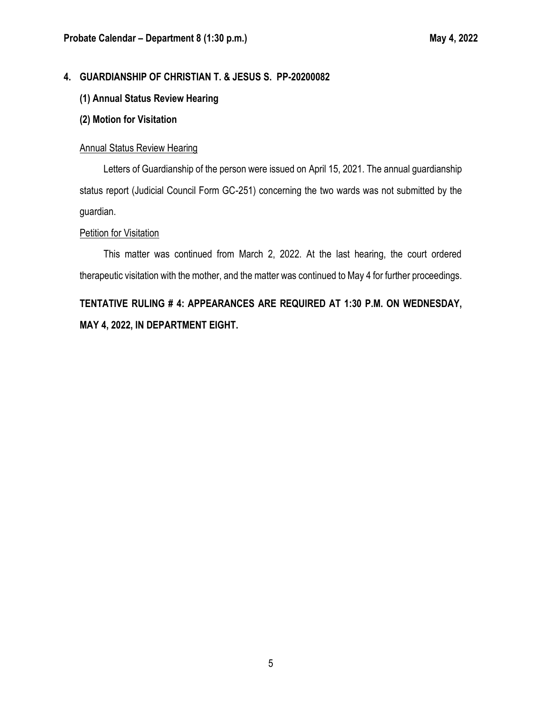# **4. GUARDIANSHIP OF CHRISTIAN T. & JESUS S. PP-20200082**

### **(1) Annual Status Review Hearing**

#### **(2) Motion for Visitation**

#### Annual Status Review Hearing

Letters of Guardianship of the person were issued on April 15, 2021. The annual guardianship status report (Judicial Council Form GC-251) concerning the two wards was not submitted by the guardian.

#### Petition for Visitation

This matter was continued from March 2, 2022. At the last hearing, the court ordered therapeutic visitation with the mother, and the matter was continued to May 4 for further proceedings.

# **TENTATIVE RULING # 4: APPEARANCES ARE REQUIRED AT 1:30 P.M. ON WEDNESDAY, MAY 4, 2022, IN DEPARTMENT EIGHT.**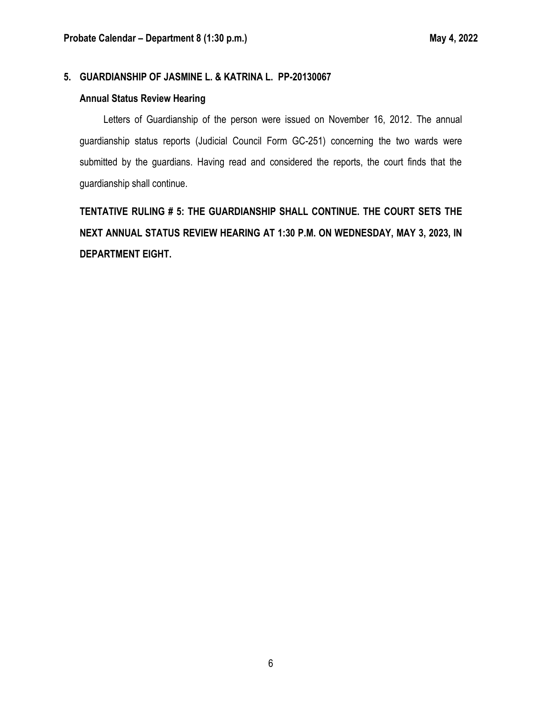### **5. GUARDIANSHIP OF JASMINE L. & KATRINA L. PP-20130067**

#### **Annual Status Review Hearing**

Letters of Guardianship of the person were issued on November 16, 2012. The annual guardianship status reports (Judicial Council Form GC-251) concerning the two wards were submitted by the guardians. Having read and considered the reports, the court finds that the guardianship shall continue.

**TENTATIVE RULING # 5: THE GUARDIANSHIP SHALL CONTINUE. THE COURT SETS THE NEXT ANNUAL STATUS REVIEW HEARING AT 1:30 P.M. ON WEDNESDAY, MAY 3, 2023, IN DEPARTMENT EIGHT.**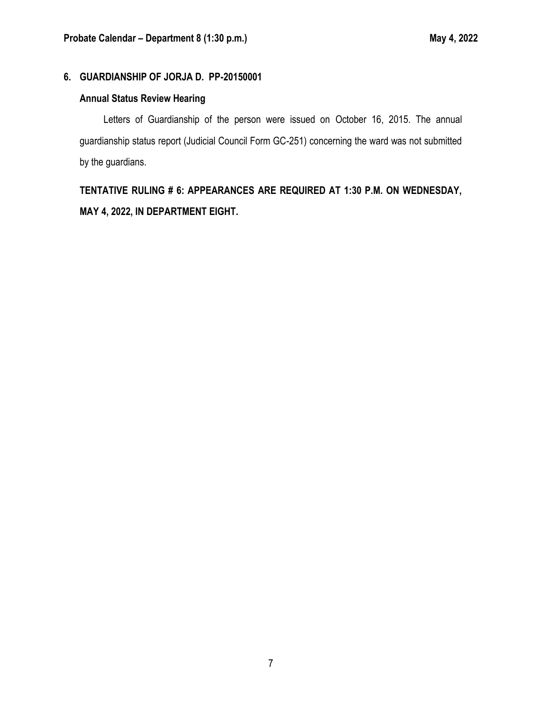## **6. GUARDIANSHIP OF JORJA D. PP-20150001**

# **Annual Status Review Hearing**

Letters of Guardianship of the person were issued on October 16, 2015. The annual guardianship status report (Judicial Council Form GC-251) concerning the ward was not submitted by the guardians.

**TENTATIVE RULING # 6: APPEARANCES ARE REQUIRED AT 1:30 P.M. ON WEDNESDAY, MAY 4, 2022, IN DEPARTMENT EIGHT.**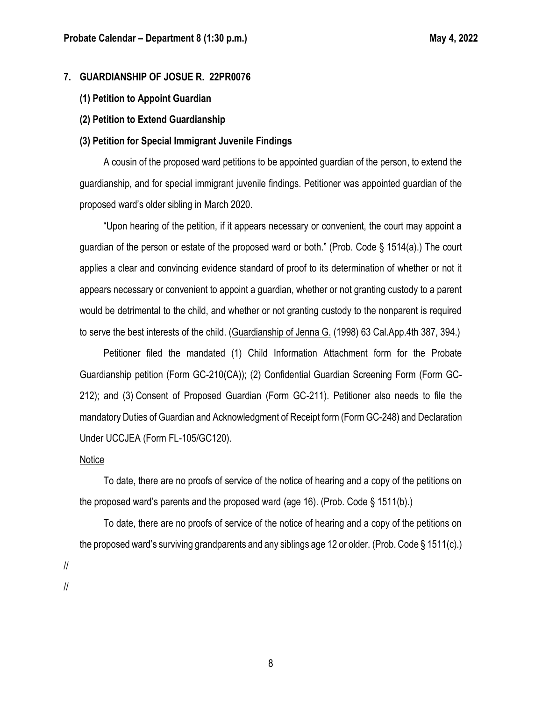#### **7. GUARDIANSHIP OF JOSUE R. 22PR0076**

- **(1) Petition to Appoint Guardian**
- **(2) Petition to Extend Guardianship**

#### **(3) Petition for Special Immigrant Juvenile Findings**

A cousin of the proposed ward petitions to be appointed guardian of the person, to extend the guardianship, and for special immigrant juvenile findings. Petitioner was appointed guardian of the proposed ward's older sibling in March 2020.

"Upon hearing of the petition, if it appears necessary or convenient, the court may appoint a guardian of the person or estate of the proposed ward or both." (Prob. Code § 1514(a).) The court applies a clear and convincing evidence standard of proof to its determination of whether or not it appears necessary or convenient to appoint a guardian, whether or not granting custody to a parent would be detrimental to the child, and whether or not granting custody to the nonparent is required to serve the best interests of the child. (Guardianship of Jenna G. (1998) 63 Cal.App.4th 387, 394.)

Petitioner filed the mandated (1) Child Information Attachment form for the Probate Guardianship petition (Form GC-210(CA)); (2) Confidential Guardian Screening Form (Form GC-212); and (3) Consent of Proposed Guardian (Form GC-211). Petitioner also needs to file the mandatory Duties of Guardian and Acknowledgment of Receipt form (Form GC-248) and Declaration Under UCCJEA (Form FL-105/GC120).

#### Notice

To date, there are no proofs of service of the notice of hearing and a copy of the petitions on the proposed ward's parents and the proposed ward (age 16). (Prob. Code § 1511(b).)

To date, there are no proofs of service of the notice of hearing and a copy of the petitions on the proposed ward's surviving grandparents and any siblings age 12 or older. (Prob. Code § 1511(c).) // //

8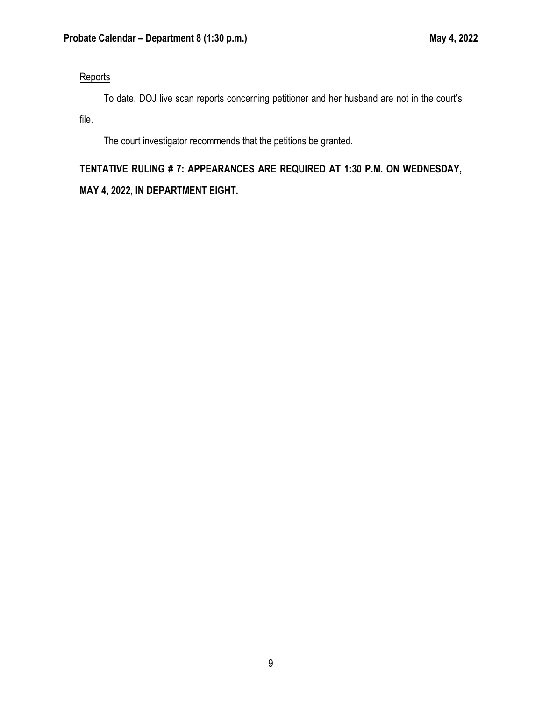### **Reports**

To date, DOJ live scan reports concerning petitioner and her husband are not in the court's file.

The court investigator recommends that the petitions be granted.

# **TENTATIVE RULING # 7: APPEARANCES ARE REQUIRED AT 1:30 P.M. ON WEDNESDAY, MAY 4, 2022, IN DEPARTMENT EIGHT.**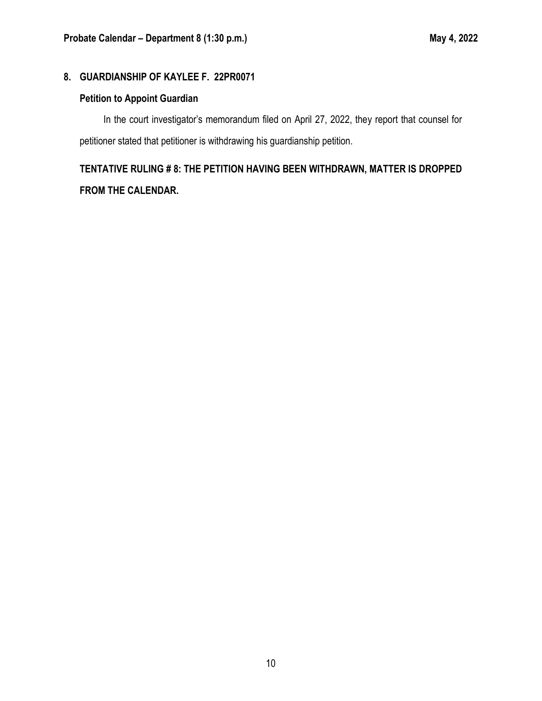# **8. GUARDIANSHIP OF KAYLEE F. 22PR0071**

# **Petition to Appoint Guardian**

In the court investigator's memorandum filed on April 27, 2022, they report that counsel for petitioner stated that petitioner is withdrawing his guardianship petition.

# **TENTATIVE RULING # 8: THE PETITION HAVING BEEN WITHDRAWN, MATTER IS DROPPED FROM THE CALENDAR.**